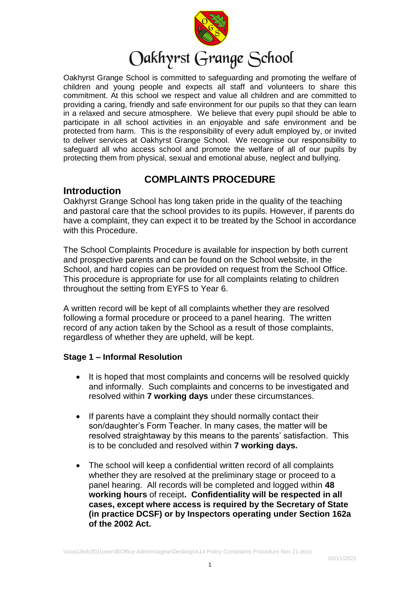

# Oakhyrst Grange School

Oakhyrst Grange School is committed to safeguarding and promoting the welfare of children and young people and expects all staff and volunteers to share this commitment. At this school we respect and value all children and are committed to providing a caring, friendly and safe environment for our pupils so that they can learn in a relaxed and secure atmosphere. We believe that every pupil should be able to participate in all school activities in an enjoyable and safe environment and be protected from harm. This is the responsibility of every adult employed by, or invited to deliver services at Oakhyrst Grange School. We recognise our responsibility to safeguard all who access school and promote the welfare of all of our pupils by protecting them from physical, sexual and emotional abuse, neglect and bullying.

## **COMPLAINTS PROCEDURE**

### **Introduction**

Oakhyrst Grange School has long taken pride in the quality of the teaching and pastoral care that the school provides to its pupils. However, if parents do have a complaint, they can expect it to be treated by the School in accordance with this Procedure.

The School Complaints Procedure is available for inspection by both current and prospective parents and can be found on the School website, in the School, and hard copies can be provided on request from the School Office. This procedure is appropriate for use for all complaints relating to children throughout the setting from EYFS to Year 6.

A written record will be kept of all complaints whether they are resolved following a formal procedure or proceed to a panel hearing. The written record of any action taken by the School as a result of those complaints, regardless of whether they are upheld, will be kept.

#### **Stage 1 – Informal Resolution**

- It is hoped that most complaints and concerns will be resolved quickly and informally. Such complaints and concerns to be investigated and resolved within **7 working days** under these circumstances.
- If parents have a complaint they should normally contact their son/daughter's Form Teacher. In many cases, the matter will be resolved straightaway by this means to the parents' satisfaction. This is to be concluded and resolved within **7 working days.**
- The school will keep a confidential written record of all complaints whether they are resolved at the preliminary stage or proceed to a panel hearing. All records will be completed and logged within **48 working hours** of receipt**. Confidentiality will be respected in all cases, except where access is required by the Secretary of State (in practice DCSF) or by Inspectors operating under Section 162a of the 2002 Act.**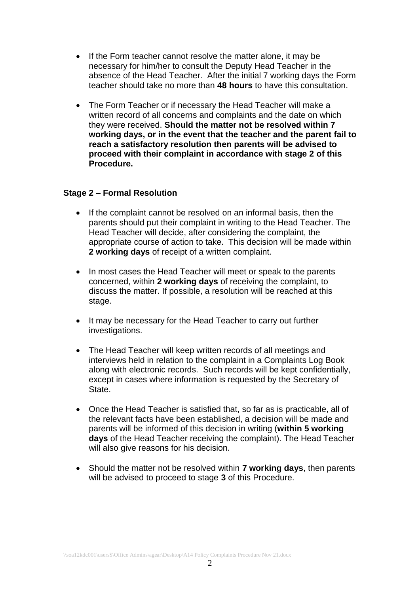- If the Form teacher cannot resolve the matter alone, it may be necessary for him/her to consult the Deputy Head Teacher in the absence of the Head Teacher. After the initial 7 working days the Form teacher should take no more than **48 hours** to have this consultation.
- The Form Teacher or if necessary the Head Teacher will make a written record of all concerns and complaints and the date on which they were received. **Should the matter not be resolved within 7 working days, or in the event that the teacher and the parent fail to reach a satisfactory resolution then parents will be advised to proceed with their complaint in accordance with stage 2 of this Procedure.**

#### **Stage 2 – Formal Resolution**

- If the complaint cannot be resolved on an informal basis, then the parents should put their complaint in writing to the Head Teacher. The Head Teacher will decide, after considering the complaint, the appropriate course of action to take. This decision will be made within **2 working days** of receipt of a written complaint.
- In most cases the Head Teacher will meet or speak to the parents concerned, within **2 working days** of receiving the complaint, to discuss the matter. If possible, a resolution will be reached at this stage.
- It may be necessary for the Head Teacher to carry out further investigations.
- The Head Teacher will keep written records of all meetings and interviews held in relation to the complaint in a Complaints Log Book along with electronic records. Such records will be kept confidentially, except in cases where information is requested by the Secretary of State.
- Once the Head Teacher is satisfied that, so far as is practicable, all of the relevant facts have been established, a decision will be made and parents will be informed of this decision in writing (**within 5 working days** of the Head Teacher receiving the complaint). The Head Teacher will also give reasons for his decision.
- Should the matter not be resolved within **7 working days**, then parents will be advised to proceed to stage **3** of this Procedure.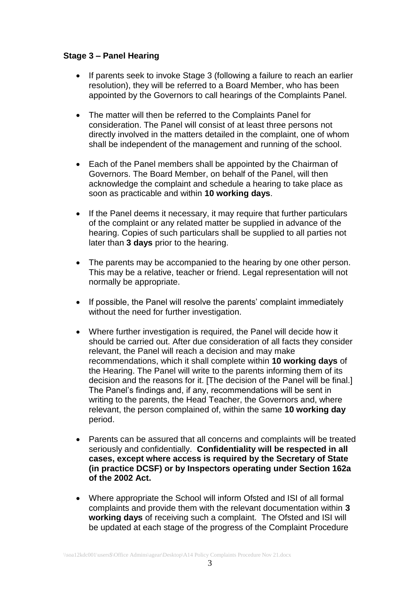#### **Stage 3 – Panel Hearing**

- If parents seek to invoke Stage 3 (following a failure to reach an earlier resolution), they will be referred to a Board Member, who has been appointed by the Governors to call hearings of the Complaints Panel.
- The matter will then be referred to the Complaints Panel for consideration. The Panel will consist of at least three persons not directly involved in the matters detailed in the complaint, one of whom shall be independent of the management and running of the school.
- Each of the Panel members shall be appointed by the Chairman of Governors. The Board Member, on behalf of the Panel, will then acknowledge the complaint and schedule a hearing to take place as soon as practicable and within **10 working days**.
- If the Panel deems it necessary, it may require that further particulars of the complaint or any related matter be supplied in advance of the hearing. Copies of such particulars shall be supplied to all parties not later than **3 days** prior to the hearing.
- The parents may be accompanied to the hearing by one other person. This may be a relative, teacher or friend. Legal representation will not normally be appropriate.
- If possible, the Panel will resolve the parents' complaint immediately without the need for further investigation.
- Where further investigation is required, the Panel will decide how it should be carried out. After due consideration of all facts they consider relevant, the Panel will reach a decision and may make recommendations, which it shall complete within **10 working days** of the Hearing. The Panel will write to the parents informing them of its decision and the reasons for it. [The decision of the Panel will be final.] The Panel's findings and, if any, recommendations will be sent in writing to the parents, the Head Teacher, the Governors and, where relevant, the person complained of, within the same **10 working day** period.
- Parents can be assured that all concerns and complaints will be treated seriously and confidentially. **Confidentiality will be respected in all cases, except where access is required by the Secretary of State (in practice DCSF) or by Inspectors operating under Section 162a of the 2002 Act.**
- Where appropriate the School will inform Ofsted and ISI of all formal complaints and provide them with the relevant documentation within **3 working days** of receiving such a complaint. The Ofsted and ISI will be updated at each stage of the progress of the Complaint Procedure